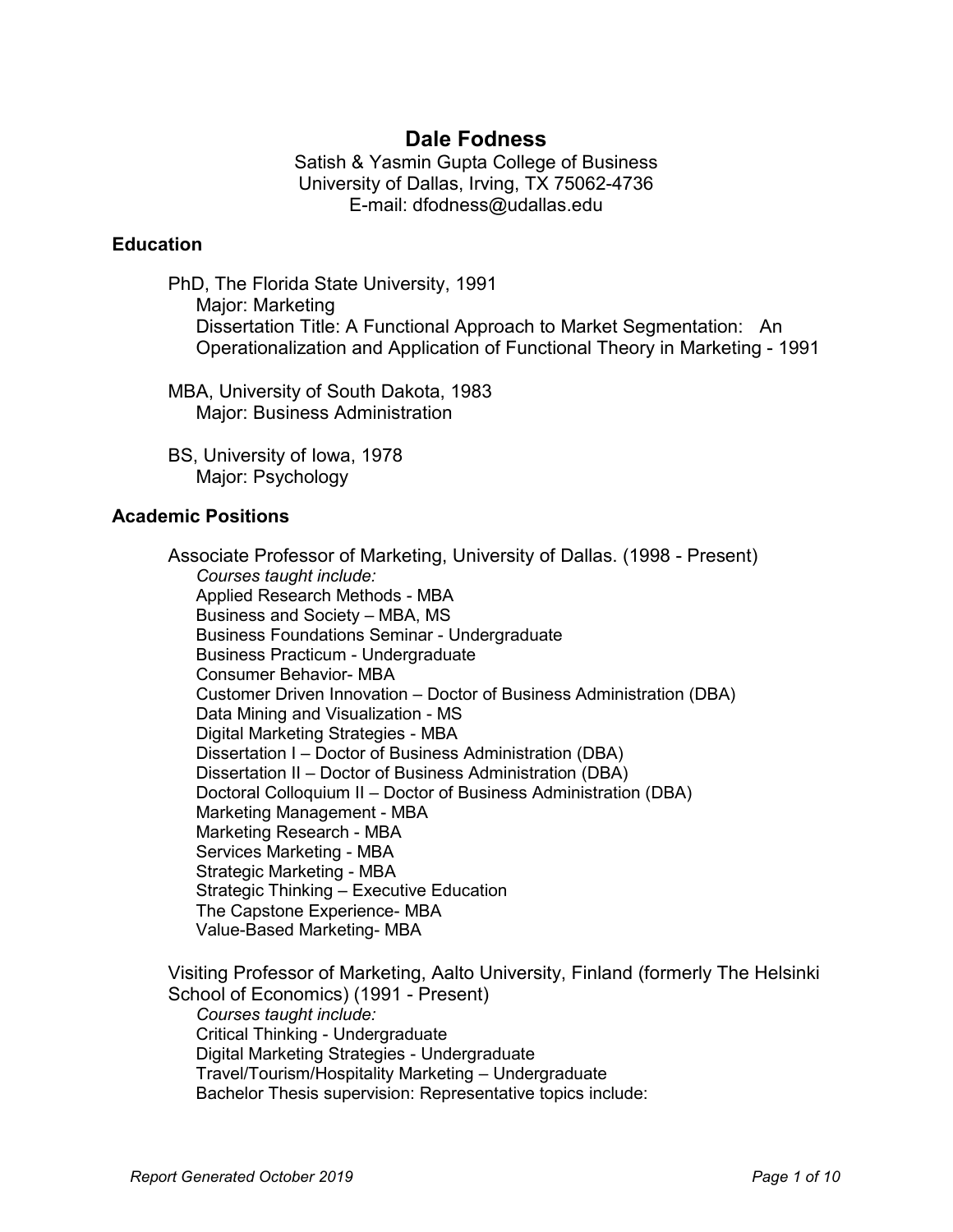# **Dale Fodness**

Satish & Yasmin Gupta College of Business University of Dallas, Irving, TX 75062-4736 E-mail: dfodness@udallas.edu

#### **Education**

PhD, The Florida State University, 1991 Major: Marketing Dissertation Title: A Functional Approach to Market Segmentation: An Operationalization and Application of Functional Theory in Marketing - 1991

MBA, University of South Dakota, 1983 Major: Business Administration

BS, University of Iowa, 1978 Major: Psychology

#### **Academic Positions**

Associate Professor of Marketing, University of Dallas. (1998 - Present) *Courses taught include:*  Applied Research Methods - MBA Business and Society – MBA, MS Business Foundations Seminar - Undergraduate Business Practicum - Undergraduate Consumer Behavior- MBA Customer Driven Innovation – Doctor of Business Administration (DBA) Data Mining and Visualization - MS Digital Marketing Strategies - MBA Dissertation I – Doctor of Business Administration (DBA) Dissertation II – Doctor of Business Administration (DBA) Doctoral Colloquium II – Doctor of Business Administration (DBA) Marketing Management - MBA Marketing Research - MBA Services Marketing - MBA Strategic Marketing - MBA Strategic Thinking – Executive Education The Capstone Experience- MBA Value-Based Marketing- MBA

Visiting Professor of Marketing, Aalto University, Finland (formerly The Helsinki School of Economics) (1991 - Present) *Courses taught include:*  Critical Thinking - Undergraduate Digital Marketing Strategies - Undergraduate Travel/Tourism/Hospitality Marketing – Undergraduate Bachelor Thesis supervision: Representative topics include: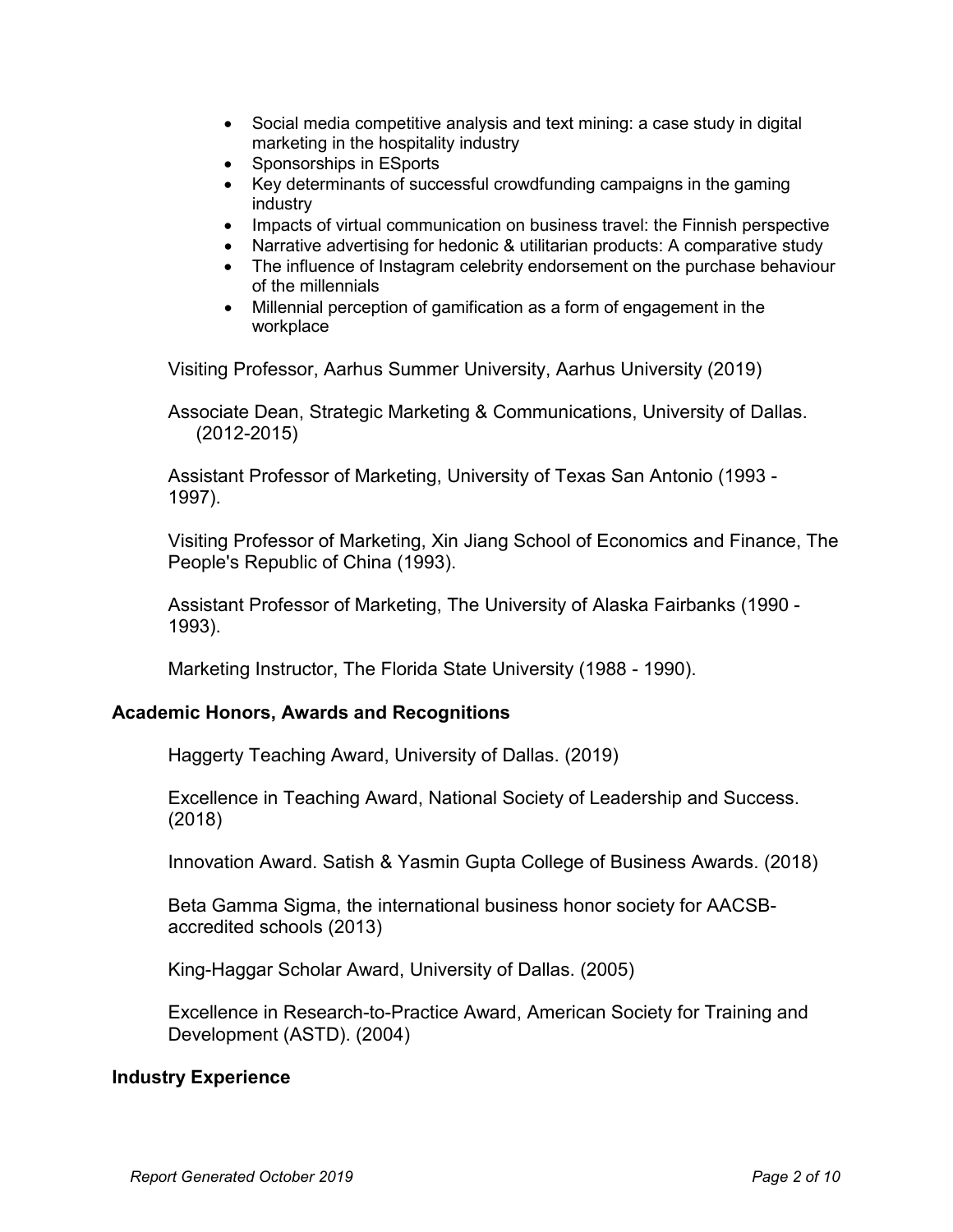- Social media competitive analysis and text mining: a case study in digital marketing in the hospitality industry
- Sponsorships in ESports
- Key determinants of successful crowdfunding campaigns in the gaming industry
- Impacts of virtual communication on business travel: the Finnish perspective
- Narrative advertising for hedonic & utilitarian products: A comparative study
- The influence of Instagram celebrity endorsement on the purchase behaviour of the millennials
- Millennial perception of gamification as a form of engagement in the workplace

Visiting Professor, Aarhus Summer University, Aarhus University (2019)

Associate Dean, Strategic Marketing & Communications, University of Dallas. (2012-2015)

Assistant Professor of Marketing, University of Texas San Antonio (1993 - 1997).

Visiting Professor of Marketing, Xin Jiang School of Economics and Finance, The People's Republic of China (1993).

Assistant Professor of Marketing, The University of Alaska Fairbanks (1990 - 1993).

Marketing Instructor, The Florida State University (1988 - 1990).

## **Academic Honors, Awards and Recognitions**

Haggerty Teaching Award, University of Dallas. (2019)

Excellence in Teaching Award, National Society of Leadership and Success. (2018)

Innovation Award. Satish & Yasmin Gupta College of Business Awards. (2018)

Beta Gamma Sigma, the international business honor society for AACSBaccredited schools (2013)

King-Haggar Scholar Award, University of Dallas. (2005)

Excellence in Research-to-Practice Award, American Society for Training and Development (ASTD). (2004)

#### **Industry Experience**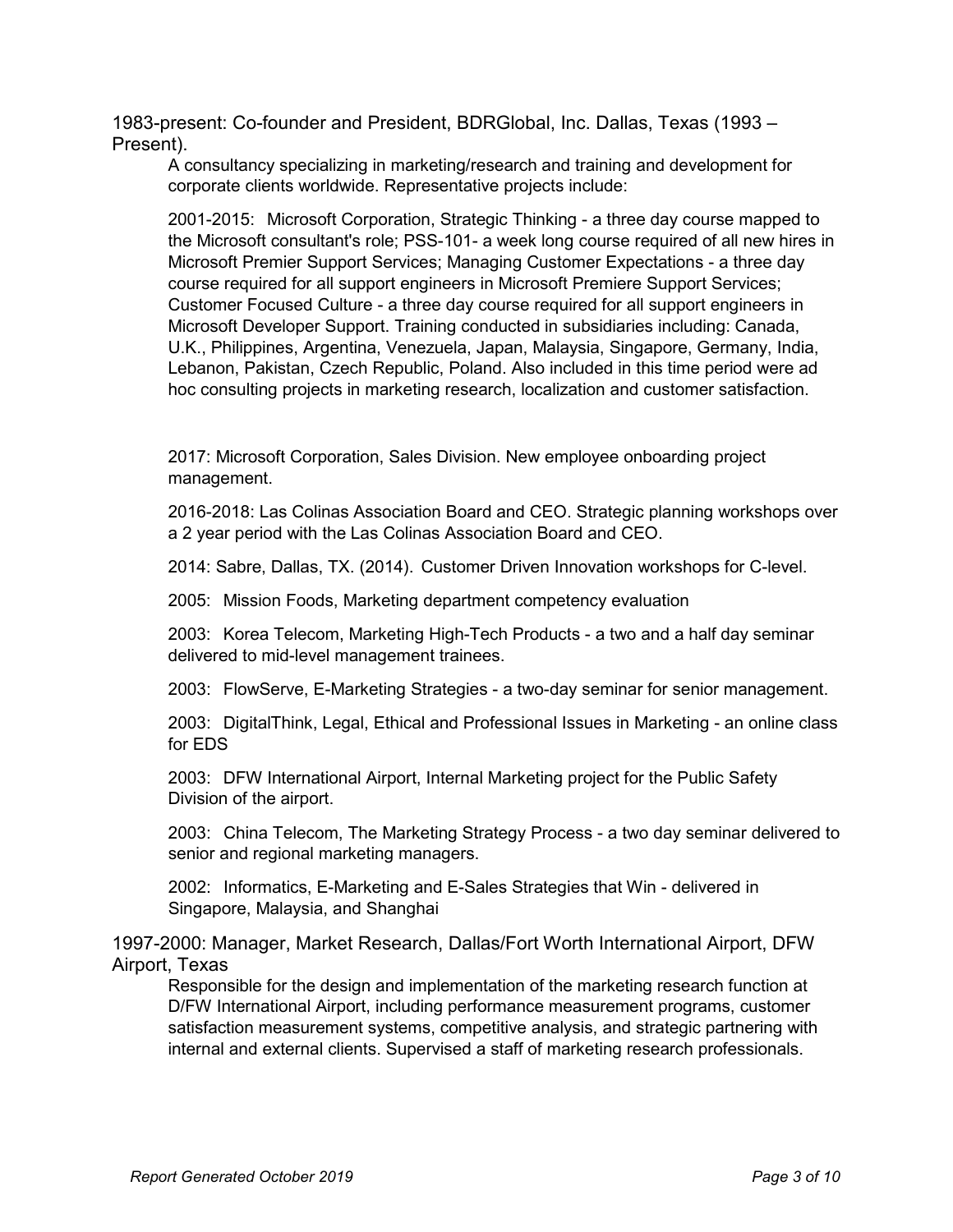1983-present: Co-founder and President, BDRGlobal, Inc. Dallas, Texas (1993 – Present).

A consultancy specializing in marketing/research and training and development for corporate clients worldwide. Representative projects include:

2001-2015: Microsoft Corporation, Strategic Thinking - a three day course mapped to the Microsoft consultant's role; PSS-101- a week long course required of all new hires in Microsoft Premier Support Services; Managing Customer Expectations - a three day course required for all support engineers in Microsoft Premiere Support Services; Customer Focused Culture - a three day course required for all support engineers in Microsoft Developer Support. Training conducted in subsidiaries including: Canada, U.K., Philippines, Argentina, Venezuela, Japan, Malaysia, Singapore, Germany, India, Lebanon, Pakistan, Czech Republic, Poland. Also included in this time period were ad hoc consulting projects in marketing research, localization and customer satisfaction.

2017: Microsoft Corporation, Sales Division. New employee onboarding project management.

2016-2018: Las Colinas Association Board and CEO. Strategic planning workshops over a 2 year period with the Las Colinas Association Board and CEO.

2014: Sabre, Dallas, TX. (2014). Customer Driven Innovation workshops for C-level.

2005: Mission Foods, Marketing department competency evaluation

2003: Korea Telecom, Marketing High-Tech Products - a two and a half day seminar delivered to mid-level management trainees.

2003: FlowServe, E-Marketing Strategies - a two-day seminar for senior management.

2003: DigitalThink, Legal, Ethical and Professional Issues in Marketing - an online class for EDS

2003: DFW International Airport, Internal Marketing project for the Public Safety Division of the airport.

2003: China Telecom, The Marketing Strategy Process - a two day seminar delivered to senior and regional marketing managers.

2002: Informatics, E-Marketing and E-Sales Strategies that Win - delivered in Singapore, Malaysia, and Shanghai

1997-2000: Manager, Market Research, Dallas/Fort Worth International Airport, DFW Airport, Texas

Responsible for the design and implementation of the marketing research function at D/FW International Airport, including performance measurement programs, customer satisfaction measurement systems, competitive analysis, and strategic partnering with internal and external clients. Supervised a staff of marketing research professionals.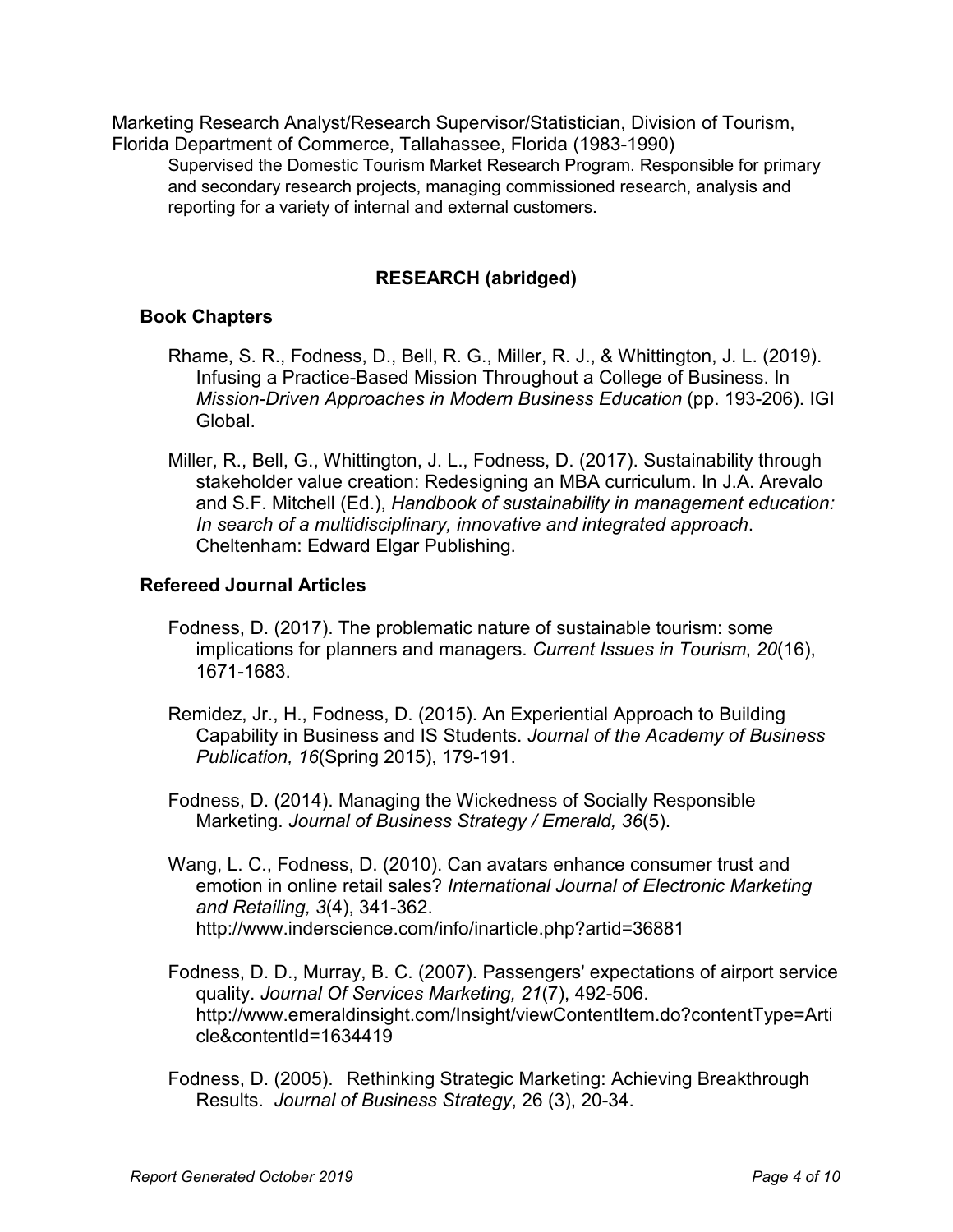Marketing Research Analyst/Research Supervisor/Statistician, Division of Tourism, Florida Department of Commerce, Tallahassee, Florida (1983-1990)

Supervised the Domestic Tourism Market Research Program. Responsible for primary and secondary research projects, managing commissioned research, analysis and reporting for a variety of internal and external customers.

# **RESEARCH (abridged)**

## **Book Chapters**

- Rhame, S. R., Fodness, D., Bell, R. G., Miller, R. J., & Whittington, J. L. (2019). Infusing a Practice-Based Mission Throughout a College of Business. In *Mission-Driven Approaches in Modern Business Education* (pp. 193-206). IGI Global.
- Miller, R., Bell, G., Whittington, J. L., Fodness, D. (2017). Sustainability through stakeholder value creation: Redesigning an MBA curriculum. In J.A. Arevalo and S.F. Mitchell (Ed.), *Handbook of sustainability in management education: In search of a multidisciplinary, innovative and integrated approach*. Cheltenham: Edward Elgar Publishing.

#### **Refereed Journal Articles**

- Fodness, D. (2017). The problematic nature of sustainable tourism: some implications for planners and managers. *Current Issues in Tourism*, *20*(16), 1671-1683.
- Remidez, Jr., H., Fodness, D. (2015). An Experiential Approach to Building Capability in Business and IS Students. *Journal of the Academy of Business Publication, 16*(Spring 2015), 179-191.
- Fodness, D. (2014). Managing the Wickedness of Socially Responsible Marketing. *Journal of Business Strategy / Emerald, 36*(5).
- Wang, L. C., Fodness, D. (2010). Can avatars enhance consumer trust and emotion in online retail sales? *International Journal of Electronic Marketing and Retailing, 3*(4), 341-362. http://www.inderscience.com/info/inarticle.php?artid=36881
- Fodness, D. D., Murray, B. C. (2007). Passengers' expectations of airport service quality. *Journal Of Services Marketing, 21*(7), 492-506. http://www.emeraldinsight.com/Insight/viewContentItem.do?contentType=Arti cle&contentId=1634419
- Fodness, D. (2005). Rethinking Strategic Marketing: Achieving Breakthrough Results. *Journal of Business Strategy*, 26 (3), 20-34.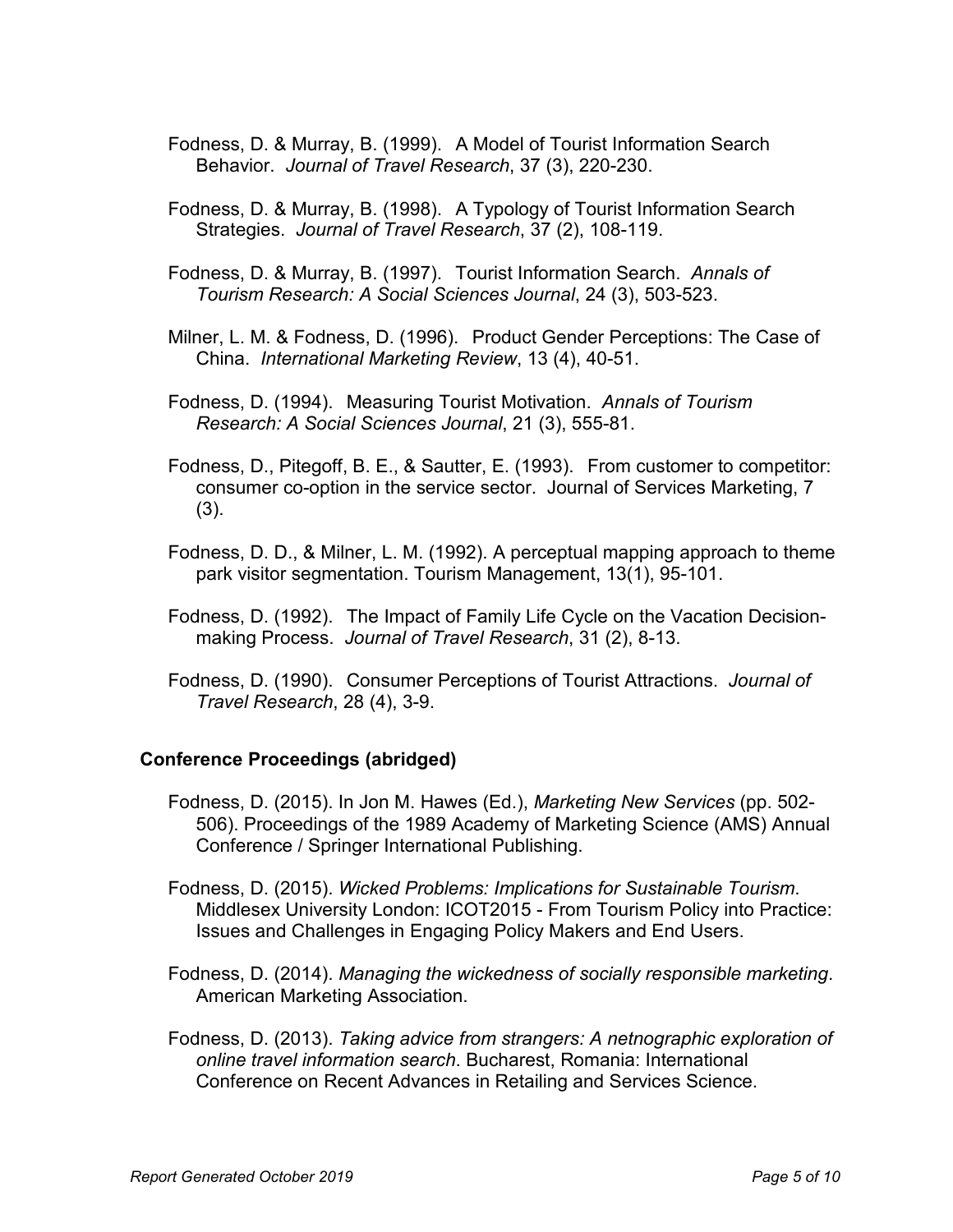- Fodness, D. & Murray, B. (1999). A Model of Tourist Information Search Behavior. *Journal of Travel Research*, 37 (3), 220-230.
- Fodness, D. & Murray, B. (1998). A Typology of Tourist Information Search Strategies. *Journal of Travel Research*, 37 (2), 108-119.
- Fodness, D. & Murray, B. (1997). Tourist Information Search. *Annals of Tourism Research: A Social Sciences Journal*, 24 (3), 503-523.
- Milner, L. M. & Fodness, D. (1996). Product Gender Perceptions: The Case of China. *International Marketing Review*, 13 (4), 40-51.
- Fodness, D. (1994). Measuring Tourist Motivation. *Annals of Tourism Research: A Social Sciences Journal*, 21 (3), 555-81.
- Fodness, D., Pitegoff, B. E., & Sautter, E. (1993). From customer to competitor: consumer co-option in the service sector. Journal of Services Marketing, 7 (3).
- Fodness, D. D., & Milner, L. M. (1992). A perceptual mapping approach to theme park visitor segmentation. Tourism Management, 13(1), 95-101.
- Fodness, D. (1992). The Impact of Family Life Cycle on the Vacation Decisionmaking Process. *Journal of Travel Research*, 31 (2), 8-13.
- Fodness, D. (1990). Consumer Perceptions of Tourist Attractions. *Journal of Travel Research*, 28 (4), 3-9.

#### **Conference Proceedings (abridged)**

- Fodness, D. (2015). In Jon M. Hawes (Ed.), *Marketing New Services* (pp. 502- 506). Proceedings of the 1989 Academy of Marketing Science (AMS) Annual Conference / Springer International Publishing.
- Fodness, D. (2015). *Wicked Problems: Implications for Sustainable Tourism*. Middlesex University London: ICOT2015 - From Tourism Policy into Practice: Issues and Challenges in Engaging Policy Makers and End Users.
- Fodness, D. (2014). *Managing the wickedness of socially responsible marketing*. American Marketing Association.
- Fodness, D. (2013). *Taking advice from strangers: A netnographic exploration of online travel information search*. Bucharest, Romania: International Conference on Recent Advances in Retailing and Services Science.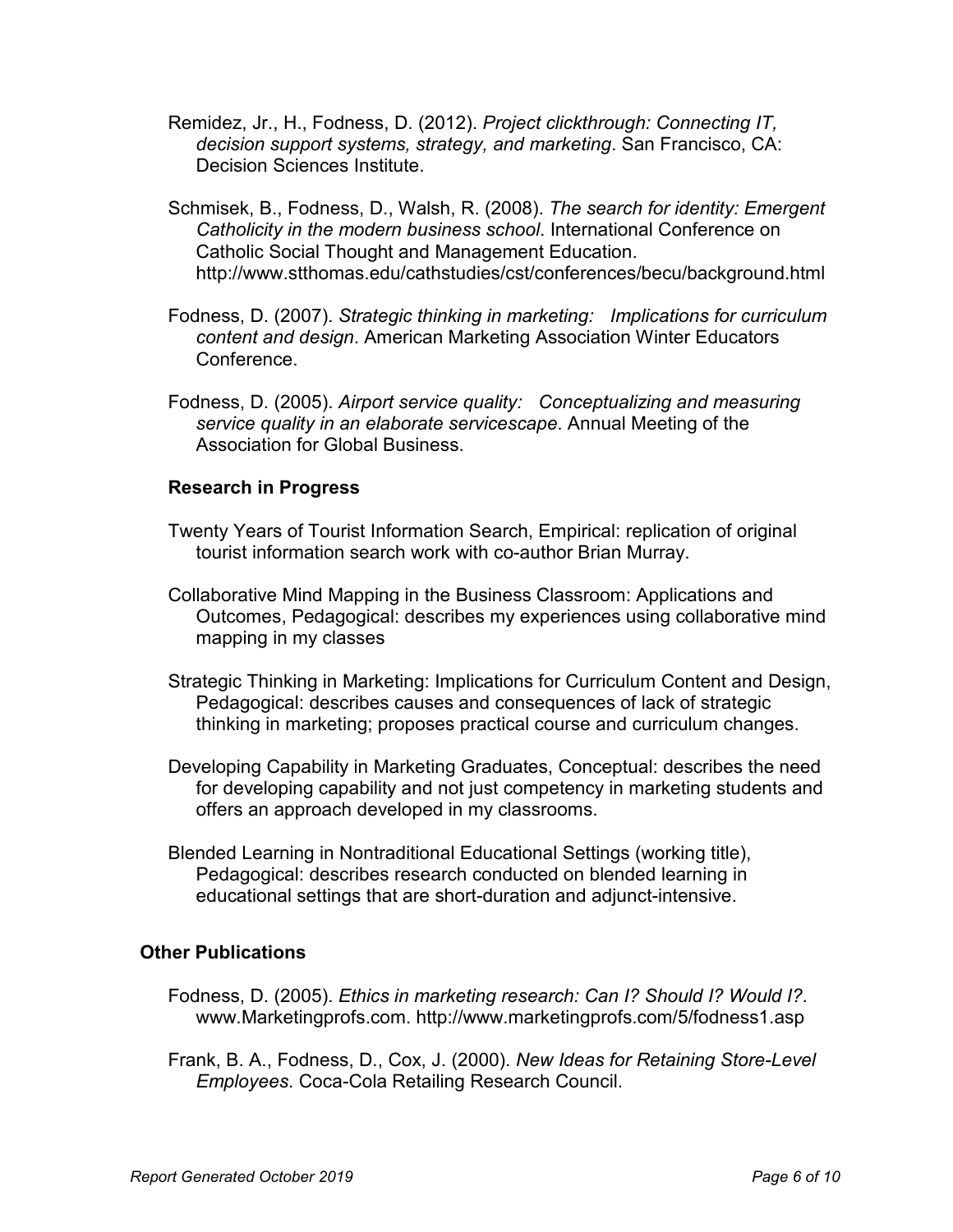- Remidez, Jr., H., Fodness, D. (2012). *Project clickthrough: Connecting IT, decision support systems, strategy, and marketing*. San Francisco, CA: Decision Sciences Institute.
- Schmisek, B., Fodness, D., Walsh, R. (2008). *The search for identity: Emergent Catholicity in the modern business school*. International Conference on Catholic Social Thought and Management Education. http://www.stthomas.edu/cathstudies/cst/conferences/becu/background.html
- Fodness, D. (2007). *Strategic thinking in marketing: Implications for curriculum content and design*. American Marketing Association Winter Educators **Conference**
- Fodness, D. (2005). *Airport service quality: Conceptualizing and measuring service quality in an elaborate servicescape*. Annual Meeting of the Association for Global Business.

## **Research in Progress**

- Twenty Years of Tourist Information Search, Empirical: replication of original tourist information search work with co-author Brian Murray.
- Collaborative Mind Mapping in the Business Classroom: Applications and Outcomes, Pedagogical: describes my experiences using collaborative mind mapping in my classes
- Strategic Thinking in Marketing: Implications for Curriculum Content and Design, Pedagogical: describes causes and consequences of lack of strategic thinking in marketing; proposes practical course and curriculum changes.
- Developing Capability in Marketing Graduates, Conceptual: describes the need for developing capability and not just competency in marketing students and offers an approach developed in my classrooms.
- Blended Learning in Nontraditional Educational Settings (working title), Pedagogical: describes research conducted on blended learning in educational settings that are short-duration and adjunct-intensive.

## **Other Publications**

- Fodness, D. (2005). *Ethics in marketing research: Can I? Should I? Would I?*. www.Marketingprofs.com. http://www.marketingprofs.com/5/fodness1.asp
- Frank, B. A., Fodness, D., Cox, J. (2000). *New Ideas for Retaining Store-Level Employees*. Coca-Cola Retailing Research Council.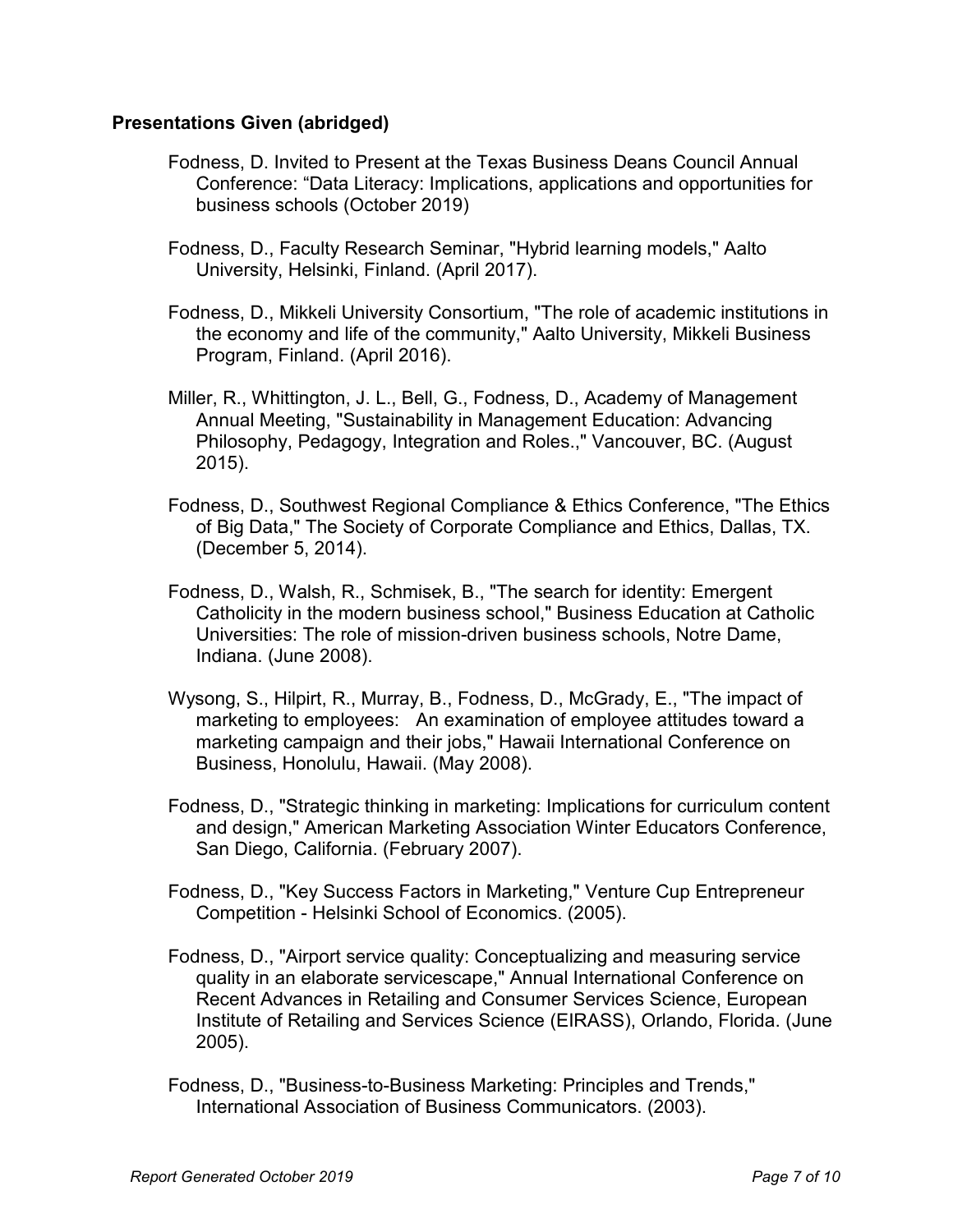#### **Presentations Given (abridged)**

- Fodness, D. Invited to Present at the Texas Business Deans Council Annual Conference: "Data Literacy: Implications, applications and opportunities for business schools (October 2019)
- Fodness, D., Faculty Research Seminar, "Hybrid learning models," Aalto University, Helsinki, Finland. (April 2017).
- Fodness, D., Mikkeli University Consortium, "The role of academic institutions in the economy and life of the community," Aalto University, Mikkeli Business Program, Finland. (April 2016).
- Miller, R., Whittington, J. L., Bell, G., Fodness, D., Academy of Management Annual Meeting, "Sustainability in Management Education: Advancing Philosophy, Pedagogy, Integration and Roles.," Vancouver, BC. (August 2015).
- Fodness, D., Southwest Regional Compliance & Ethics Conference, "The Ethics of Big Data," The Society of Corporate Compliance and Ethics, Dallas, TX. (December 5, 2014).
- Fodness, D., Walsh, R., Schmisek, B., "The search for identity: Emergent Catholicity in the modern business school," Business Education at Catholic Universities: The role of mission-driven business schools, Notre Dame, Indiana. (June 2008).
- Wysong, S., Hilpirt, R., Murray, B., Fodness, D., McGrady, E., "The impact of marketing to employees: An examination of employee attitudes toward a marketing campaign and their jobs," Hawaii International Conference on Business, Honolulu, Hawaii. (May 2008).
- Fodness, D., "Strategic thinking in marketing: Implications for curriculum content and design," American Marketing Association Winter Educators Conference, San Diego, California. (February 2007).
- Fodness, D., "Key Success Factors in Marketing," Venture Cup Entrepreneur Competition - Helsinki School of Economics. (2005).
- Fodness, D., "Airport service quality: Conceptualizing and measuring service quality in an elaborate servicescape," Annual International Conference on Recent Advances in Retailing and Consumer Services Science, European Institute of Retailing and Services Science (EIRASS), Orlando, Florida. (June 2005).
- Fodness, D., "Business-to-Business Marketing: Principles and Trends," International Association of Business Communicators. (2003).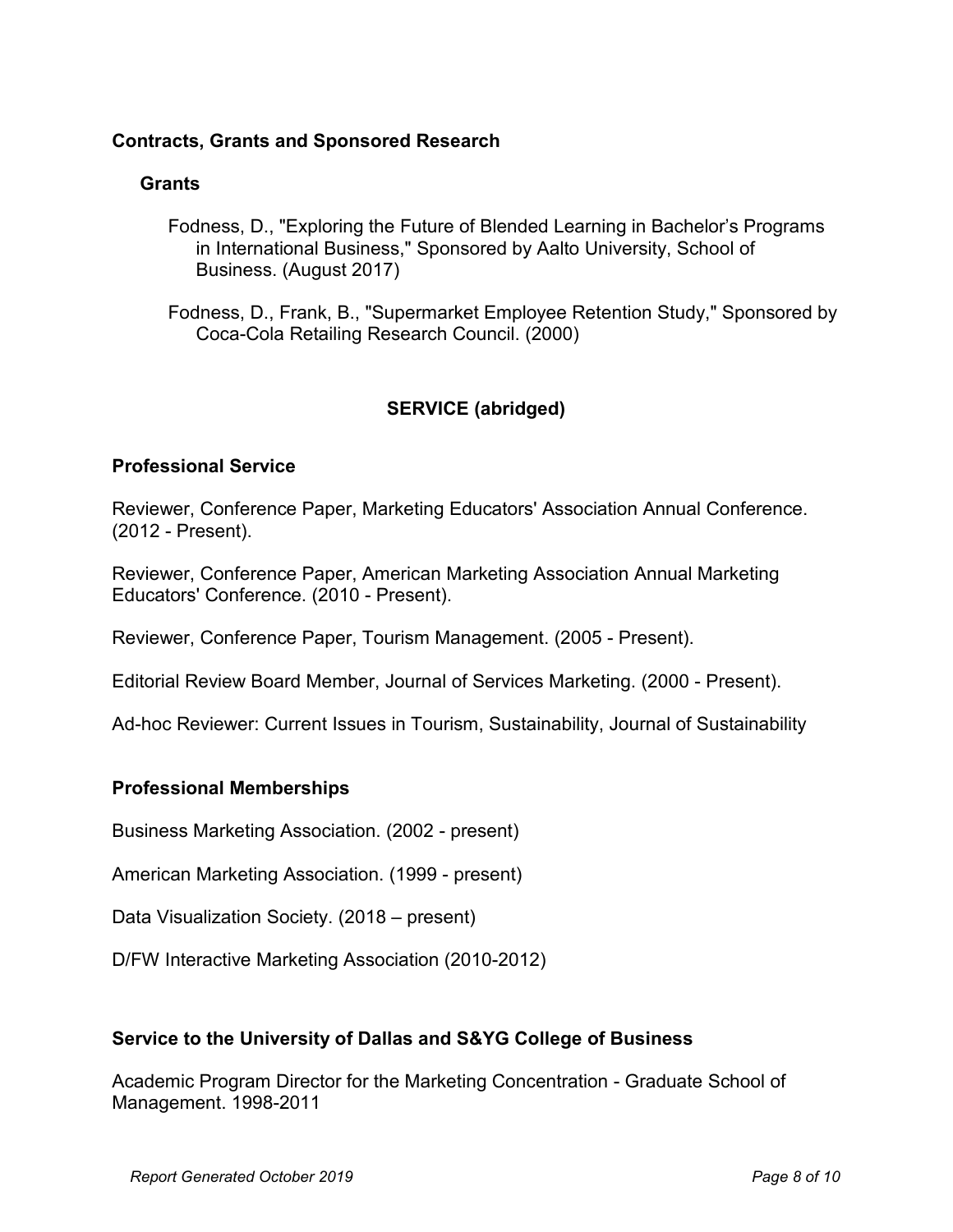## **Contracts, Grants and Sponsored Research**

## **Grants**

Fodness, D., "Exploring the Future of Blended Learning in Bachelor's Programs in International Business," Sponsored by Aalto University, School of Business. (August 2017)

Fodness, D., Frank, B., "Supermarket Employee Retention Study," Sponsored by Coca-Cola Retailing Research Council. (2000)

# **SERVICE (abridged)**

# **Professional Service**

Reviewer, Conference Paper, Marketing Educators' Association Annual Conference. (2012 - Present).

Reviewer, Conference Paper, American Marketing Association Annual Marketing Educators' Conference. (2010 - Present).

Reviewer, Conference Paper, Tourism Management. (2005 - Present).

Editorial Review Board Member, Journal of Services Marketing. (2000 - Present).

Ad-hoc Reviewer: Current Issues in Tourism, Sustainability, Journal of Sustainability

## **Professional Memberships**

Business Marketing Association. (2002 - present)

American Marketing Association. (1999 - present)

Data Visualization Society. (2018 – present)

D/FW Interactive Marketing Association (2010-2012)

## **Service to the University of Dallas and S&YG College of Business**

Academic Program Director for the Marketing Concentration - Graduate School of Management. 1998-2011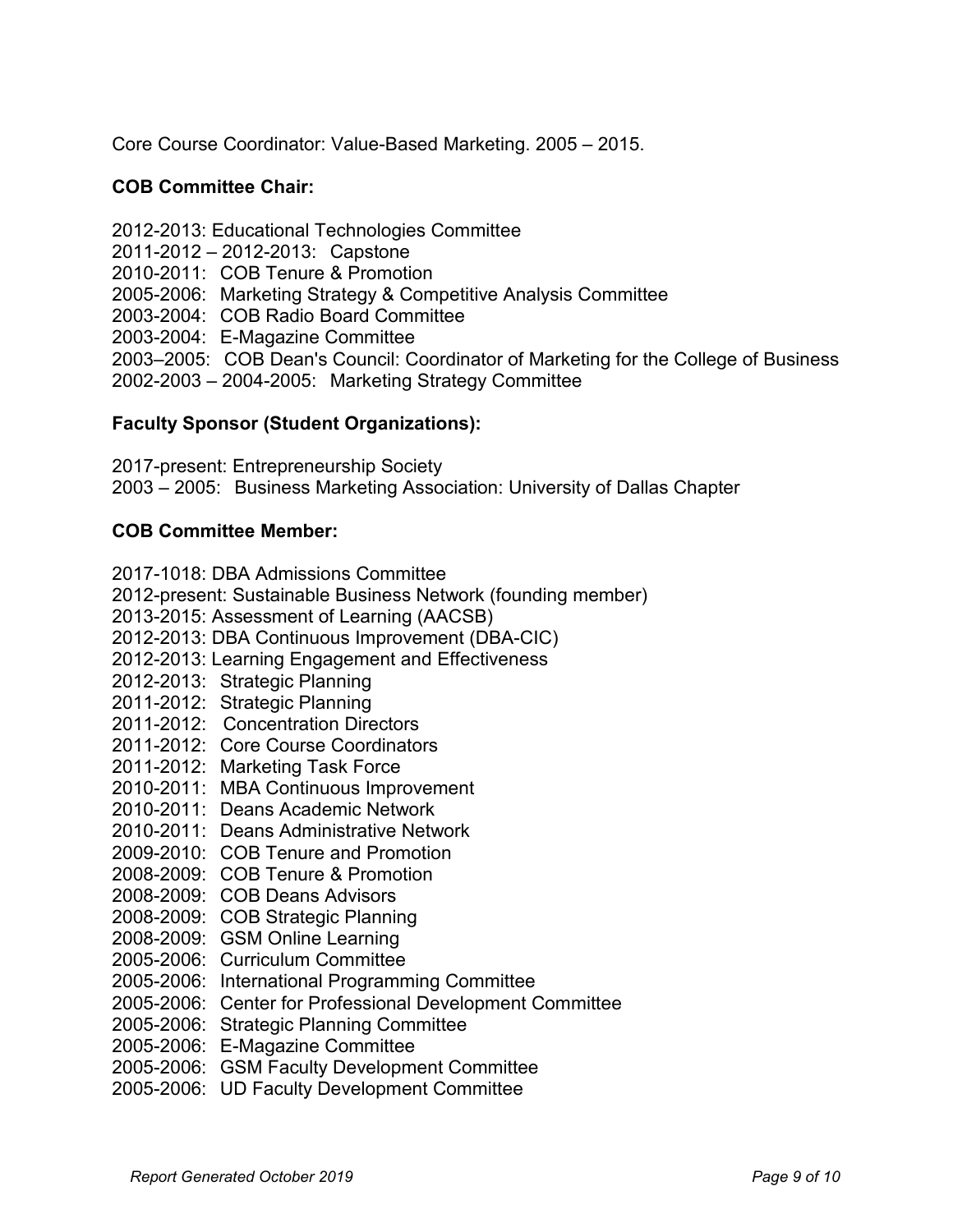Core Course Coordinator: Value-Based Marketing. 2005 – 2015.

## **COB Committee Chair:**

2012-2013: Educational Technologies Committee 2011-2012 – 2012-2013: Capstone 2010-2011: COB Tenure & Promotion 2005-2006: Marketing Strategy & Competitive Analysis Committee 2003-2004: COB Radio Board Committee 2003-2004: E-Magazine Committee 2003–2005: COB Dean's Council: Coordinator of Marketing for the College of Business 2002-2003 – 2004-2005: Marketing Strategy Committee

# **Faculty Sponsor (Student Organizations):**

2017-present: Entrepreneurship Society 2003 – 2005: Business Marketing Association: University of Dallas Chapter

## **COB Committee Member:**

2017-1018: DBA Admissions Committee 2012-present: Sustainable Business Network (founding member) 2013-2015: Assessment of Learning (AACSB) 2012-2013: DBA Continuous Improvement (DBA-CIC) 2012-2013: Learning Engagement and Effectiveness 2012-2013: Strategic Planning 2011-2012: Strategic Planning 2011-2012: Concentration Directors 2011-2012: Core Course Coordinators 2011-2012: Marketing Task Force 2010-2011: MBA Continuous Improvement 2010-2011: Deans Academic Network 2010-2011: Deans Administrative Network 2009-2010: COB Tenure and Promotion 2008-2009: COB Tenure & Promotion 2008-2009: COB Deans Advisors 2008-2009: COB Strategic Planning 2008-2009: GSM Online Learning 2005-2006: Curriculum Committee 2005-2006: International Programming Committee 2005-2006: Center for Professional Development Committee 2005-2006: Strategic Planning Committee

- 2005-2006: E-Magazine Committee
- 2005-2006: GSM Faculty Development Committee
- 2005-2006: UD Faculty Development Committee